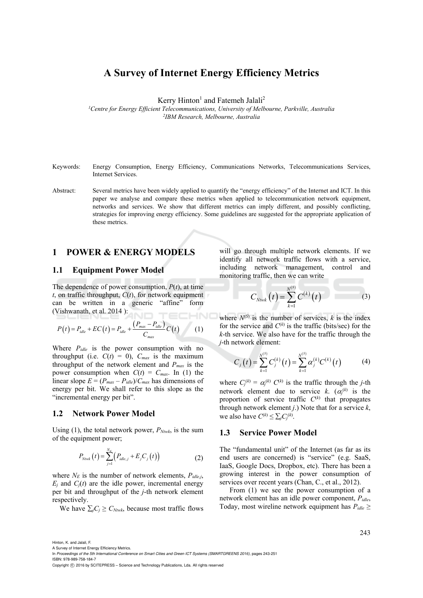# **A Survey of Internet Energy Efficiency Metrics**

Kerry Hinton<sup>1</sup> and Fatemeh Jalali<sup>2</sup>

*1Centre for Energy Efficient Telecommunications, University of Melbourne, Parkville, Australia 2IBM Research, Melbourne, Australia* 

- Keywords: Energy Consumption, Energy Efficiency, Communications Networks, Telecommunications Services, Internet Services.
- Abstract: Several metrics have been widely applied to quantify the "energy efficiency" of the Internet and ICT. In this paper we analyse and compare these metrics when applied to telecommunication network equipment, networks and services. We show that different metrics can imply different, and possibly conflicting, strategies for improving energy efficiency. Some guidelines are suggested for the appropriate application of these metrics.

# **1 POWER & ENERGY MODELS**

### **1.1 Equipment Power Model**

The dependence of power consumption, *P*(*t*), at time *t*, on traffic throughput, *C*(*t*), for network equipment can be written in a generic "affine" form (Vishwanath, et al. 2014 ): :HNC

$$
P(t) = P_{idle} + EC(t) = P_{idle} + \frac{(P_{max} - P_{idle})}{C_{max}}C(t)
$$
 (1)

Where *Pidle* is the power consumption with no throughput (i.e.  $C(t) = 0$ ),  $C_{max}$  is the maximum throughput of the network element and  $P_{max}$  is the power consumption when  $C(t) = C_{max}$ . In (1) the linear slope  $E = (P_{max} - P_{idle})/C_{max}$  has dimensions of energy per bit. We shall refer to this slope as the "incremental energy per bit".

### **1.2 Network Power Model**

Using (1), the total network power,  $P_{Ntwk}$ , is the sum of the equipment power;

$$
P_{N\text{row}}(t) = \sum_{j=1}^{N_E} \left( P_{idle,j} + E_j C_j(t) \right) \tag{2}
$$

where  $N_E$  is the number of network elements,  $P_{idle,i}$ ,  $E_i$  and  $C_i(t)$  are the idle power, incremental energy per bit and throughput of the *j*-th network element respectively.

We have  $\sum_{i} C_i \geq C_{Ntwk}$ , because most traffic flows

will go through multiple network elements. If we identify all network traffic flows with a service, including network management, control and monitoring traffic, then we can write

$$
C_{N\text{twk}}(t) = \sum_{k=1}^{N^{(S)}} C^{(k)}(t) \tag{3}
$$

where  $N^{(S)}$  is the number of services,  $k$  is the index for the service and  $C^{(k)}$  is the traffic (bits/sec) for the *k*-th service. We also have for the traffic through the *j*-th network element:

$$
C_j(t) = \sum_{k=1}^{N^{(S)}} C_j^{(k)}(t) = \sum_{k=1}^{N^{(S)}} \alpha_j^{(k)} C^{(k)}(t)
$$
 (4)

where  $C_j^{(k)} = \alpha_j^{(k)} C^{(k)}$  is the traffic through the *j*-th network element due to service *k*.  $(\alpha_j^{(k)})$  is the proportion of service traffic  $C^{(k)}$  that propagates through network element *j*.) Note that for a service *k*, we also have  $C^{(k)} \le \sum_j C_j^{(k)}$ .

### **1.3 Service Power Model**

The "fundamental unit" of the Internet (as far as its end users are concerned) is "service" (e.g. SaaS, IaaS, Google Docs, Dropbox, etc). There has been a growing interest in the power consumption of services over recent years (Chan, C., et al., 2012).

From (1) we see the power consumption of a network element has an idle power component, *Pidle*, Today, most wireline network equipment has  $P_{idle} \ge$ 

Hinton, K. and Jalali, F. A Survey of Internet Energy Efficiency Metrics.

ISBN: 978-989-758-184-7

Copyright © 2016 by SCITEPRESS - Science and Technology Publications, Lda. All rights reserved

In *Proceedings of the 5th International Conference on Smart Cities and Green ICT Systems (SMARTGREENS 2016)*, pages 243-251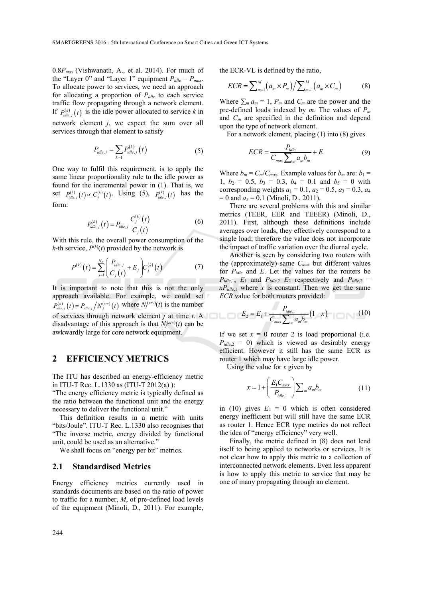0.8*Pmax* (Vishwanath, A., et al. 2014). For much of the "Layer 0" and "Layer 1" equipment  $P_{idle} = P_{max}$ . To allocate power to services, we need an approach for allocating a proportion of *Pidle* to each service traffic flow propagating through a network element. If  $P_{i,d}^{(k)}(t)$  is the idle power allocated to service k in network element *j*, we expect the sum over all services through that element to satisfy

$$
P_{idle,j} = \sum_{k=1} P_{idle,j}^{(k)}(t)
$$
 (5)

One way to fulfil this requirement, is to apply the same linear proportionality rule to the idle power as found for the incremental power in (1). That is, we set  $P_{idle, j}^{(k)}(t) \propto C_j^{(k)}(t)$ . Using (5),  $P_{idle, j}^{(k)}(t)$  has the form:

$$
P_{idle,j}^{(k)}(t) = P_{idle,j} \frac{C_j^{(k)}(t)}{C_j(t)}
$$
\n(6)

With this rule, the overall power consumption of the *k*-th service,  $P^{(k)}(t)$  provided by the network is

$$
P^{(k)}(t) = \sum_{j=1}^{N_E} \left( \frac{P_{idle,j}}{C_j(t)} + E_j \right) C_j^{(k)}(t) \tag{7}
$$

It is important to note that this is not the only approach available. For example, we could set  $P_{idle,j}^{(k)}(t) = P_{idle,j}/N_j^{(srv)}(t)$  where  $N_j^{(srv)}(t)$  is the number of services through network element *j* at time *t*. A disadvantage of this approach is that  $N_j^{(srv)}(t)$  can be awkwardly large for core network equipment.

# **2 EFFICIENCY METRICS**

The ITU has described an energy-efficiency metric in ITU-T Rec. L.1330 as (ITU-T 2012(a) ):

"The energy efficiency metric is typically defined as the ratio between the functional unit and the energy necessary to deliver the functional unit."

This definition results in a metric with units "bits/Joule". ITU-T Rec. L.1330 also recognises that "The inverse metric, energy divided by functional unit, could be used as an alternative."

We shall focus on "energy per bit" metrics.

### **2.1 Standardised Metrics**

Energy efficiency metrics currently used in standards documents are based on the ratio of power to traffic for a number, *M*, of pre-defined load levels of the equipment (Minoli, D., 2011). For example, the ECR-VL is defined by the ratio,

$$
ECR = \sum_{m=1}^{M} (a_m \times P_m) / \sum_{m=1}^{M} (a_m \times C_m)
$$
 (8)

Where  $\sum_{m} a_m = 1$ ,  $P_m$  and  $C_m$  are the power and the pre-defined loads indexed by *m*. The values of *Pm* and *Cm* are specified in the definition and depend upon the type of network element.

For a network element, placing (1) into (8) gives

$$
ECR = \frac{P_{idle}}{C_{max} \sum_{m} a_{m} b_{m}} + E
$$
 (9)

Where  $b_m = C_m / C_{max}$ . Example values for  $b_m$  are:  $b_1 =$  $1, b_2 = 0.5, b_3 = 0.3, b_4 = 0.1$  and  $b_5 = 0$  with corresponding weights  $a_1 = 0.1$ ,  $a_2 = 0.5$ ,  $a_3 = 0.3$ ,  $a_4$  $= 0$  and  $a_5 = 0.1$  (Minoli, D., 2011).

There are several problems with this and similar metrics (TEER, EER and TEEER) (Minoli, D., 2011). First, although these definitions include averages over loads, they effectively correspond to a single load; therefore the value does not incorporate the impact of traffic variation over the diurnal cycle.

Another is seen by considering two routers with the (approximately) same  $C_{max}$  but different values for *Pidle* and *E*. Let the values for the routers be  $P_{idle,1}$ ,  $E_1$  and  $P_{idle,2}$   $E_2$  respectively and  $P_{idle,2}$  =  $xP_{idle,1}$  where *x* is constant. Then we get the same *ECR* value for both routers provided:

$$
E_2 = E_1 + \frac{P_{idle,1}}{C_{max} \sum_{m} a_m b_m} (1 - x)
$$
 (10)

If we set  $x = 0$  router 2 is load proportional (i.e.  $P_{idle,2} = 0$ ) which is viewed as desirably energy efficient. However it still has the same ECR as router 1 which may have large idle power.

Using the value for *x* given by

$$
x = 1 + \left(\frac{E_1 C_{max}}{P_{idle,1}}\right) \sum_m a_m b_m \tag{11}
$$

in (10) gives  $E_2 = 0$  which is often considered energy inefficient but will still have the same ECR as router 1. Hence ECR type metrics do not reflect the idea of "energy efficiency" very well.

Finally, the metric defined in (8) does not lend itself to being applied to networks or services. It is not clear how to apply this metric to a collection of interconnected network elements. Even less apparent is how to apply this metric to service that may be one of many propagating through an element.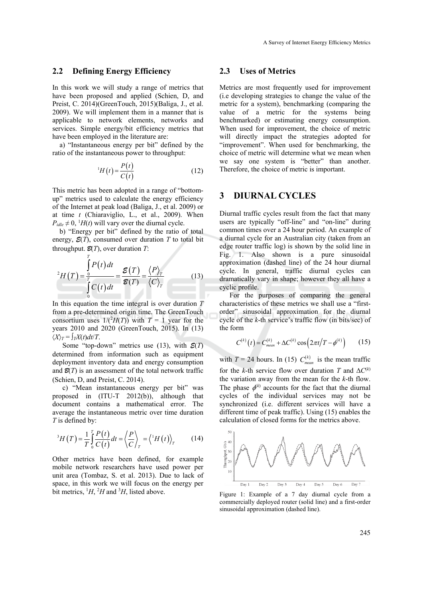## **2.2 Defining Energy Efficiency**

In this work we will study a range of metrics that have been proposed and applied (Schien, D, and Preist, C. 2014)(GreenTouch, 2015)(Baliga, J., et al. 2009). We will implement them in a manner that is applicable to network elements, networks and services. Simple energy/bit efficiency metrics that have been employed in the literature are:

a) "Instantaneous energy per bit" defined by the ratio of the instantaneous power to throughput:

$$
{}^{1}H(t) = \frac{P(t)}{C(t)}\tag{12}
$$

This metric has been adopted in a range of "bottomup" metrics used to calculate the energy efficiency of the Internet at peak load (Baliga, J., et al. 2009) or at time *t* (Chiaraviglio, L., et al., 2009). When  $P_{idle} \neq 0$ , <sup>1</sup> $H(t)$  will vary over the diurnal cycle.

b) "Energy per bit" defined by the ratio of total energy,  $\mathcal{E}(T)$ , consumed over duration *T* to total bit throughput.  $\mathcal{B}(T)$ , over duration  $T$ :

*T*

$$
{}^{2}H(T) = \frac{\int_{0}^{T} P(t)dt}{\int_{0}^{T} C(t)dt} = \frac{\mathcal{E}(T)}{\mathcal{E}(T)} = \frac{\langle P \rangle_{T}}{\langle C \rangle_{T}}
$$
(13)

In this equation the time integral is over duration *T* from a pre-determined origin time. The GreenTouch consortium uses  $1/(2H(T))$  with  $T = 1$  year for the years 2010 and 2020 (GreenTouch, 2015). In (13)  $\langle X \rangle_T = \int_T X(t) dt/T$ .

Some "top-down" metrics use (13), with *E*(*T*) determined from information such as equipment deployment inventory data and energy consumption and  $\mathcal{B}(T)$  is an assessment of the total network traffic (Schien, D, and Preist, C. 2014).

c) "Mean instantaneous energy per bit" was proposed in (ITU-T 2012(b)), although that document contains a mathematical error. The average the instantaneous metric over time duration *T* is defined by:

$$
{}^{3}H(T) = \frac{1}{T} \int_{0}^{T} \frac{P(t)}{C(t)} dt = \left\langle \frac{P}{C} \right\rangle_{T} = \left\langle {}^{1}H(t) \right\rangle_{T} \tag{14}
$$

Other metrics have been defined, for example mobile network researchers have used power per unit area (Tombaz, S. et al. 2013). Due to lack of space, in this work we will focus on the energy per bit metrics,  $^1H$ ,  $^2H$  and  $^3H$ , listed above.

#### **2.3 Uses of Metrics**

Metrics are most frequently used for improvement (i.e developing strategies to change the value of the metric for a system), benchmarking (comparing the value of a metric for the systems being benchmarked) or estimating energy consumption. When used for improvement, the choice of metric will directly impact the strategies adopted for "improvement". When used for benchmarking, the choice of metric will determine what we mean when we say one system is "better" than another. Therefore, the choice of metric is important.

# **3 DIURNAL CYCLES**

Diurnal traffic cycles result from the fact that many users are typically "off-line" and "on-line" during common times over a 24 hour period. An example of a diurnal cycle for an Australian city (taken from an edge router traffic log) is shown by the solid line in Fig. 1. Also shown is a pure sinusoidal approximation (dashed line) of the 24 hour diurnal cycle. In general, traffic diurnal cycles can dramatically vary in shape; however they all have a cyclic profile.

For the purposes of comparing the general characteristics of these metrics we shall use a "firstorder" sinusoidal approximation for the diurnal cycle of the *k*-th service's traffic flow (in bits/sec) of the form

$$
C^{(k)}(t) = C_{mean}^{(k)} + \Delta C^{(k)} \cos(2\pi t/T - \phi^{(k)})
$$
 (15)

with  $T = 24$  hours. In (15)  $C_{mean}^{(k)}$  is the mean traffic for the *k*-th service flow over duration *T* and  $\Delta C^{(k)}$ the variation away from the mean for the *k*-th flow. The phase  $\phi^{(k)}$  accounts for the fact that the diurnal cycles of the individual services may not be synchronized (i.e. different services will have a different time of peak traffic). Using (15) enables the calculation of closed forms for the metrics above.



Figure 1: Example of a 7 day diurnal cycle from a commercially deployed router (solid line) and a first-order sinusoidal approximation (dashed line).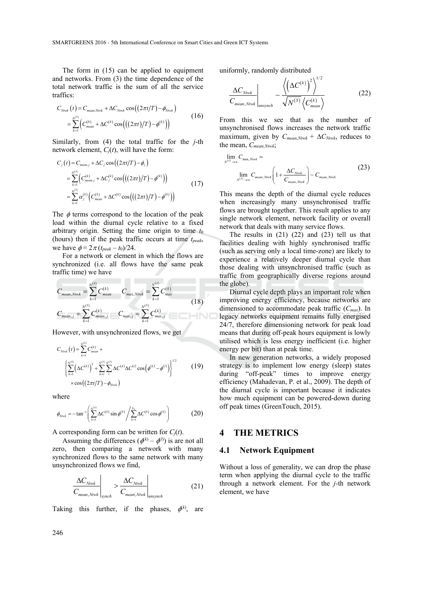The form in (15) can be applied to equipment and networks. From (3) the time dependence of the total network traffic is the sum of all the service traffics:

$$
C_{N\text{twk}}(t) = C_{mean, N\text{twk}} + \Delta C_{N\text{twk}} \cos((2\pi t/T) - \phi_{N\text{twk}})
$$
  
= 
$$
\sum_{k=1}^{N^{(S)}} \Big( C_{mean}^{(k)} + \Delta C^{(k)} \cos\big( ((2\pi t)/T) - \phi^{(k)} \big) \Big)
$$
 (16)

Similarly, from (4) the total traffic for the *j*-th network element, *Cj*(*t*), will have the form:

$$
C_j(t) = C_{mean, j} + \Delta C_j \cos((2\pi t/T) - \phi_j)
$$
  
= 
$$
\sum_{k=1}^{N^{(5)}} \left( C_{mean, j}^{(k)} + \Delta C_j^{(k)} \cos(((2\pi t)/T) - \phi^{(k)}) \right)
$$
  
= 
$$
\sum_{k=1}^{N^{(5)}} \alpha_j^{(k)} \left( C_{mean}^{(k)} + \Delta C^{(k)} \cos(((2\pi t)/T) - \phi^{(k)}) \right)
$$
 (17)

The  $\phi$  terms correspond to the location of the peak load within the diurnal cycle relative to a fixed arbitrary origin. Setting the time origin to time  $t_0$ (hours) then if the peak traffic occurs at time *tpeak*, we have  $\phi = 2\pi (t_{peak} - t_0)/24$ .

For a network or element in which the flows are synchronized (i.e. all flows have the same peak traffic time) we have

$$
C_{mean, Ntwk} = \sum_{k=1}^{N^{(S)}} C_{mean}^{(k)} \t C_{max, Ntwk} = \sum_{k=1}^{N^{(S)}} C_{max}^{(k)}
$$
  
\n
$$
C_{mean, j} = \sum_{k=1}^{N^{(S)}} C_{mean, j}^{(k)} \t C_{max, j} = \sum_{k=1}^{N^{(S)}} C_{max, j}^{(k)}
$$
 (18)

However, with unsynchronized flows, we get

$$
C_{N\text{row}k}(t) = \sum_{k=1}^{N^{(5)}} C_{mean}^{(k)} + \left\{ \sum_{k=1}^{N^{(5)}} \left( \Delta C^{(k)} \right)^2 + \sum_{k=1}^{N^{(5)}} \sum_{l}^{N^{(5)}} \Delta C^{(k)} \Delta C^{(l)} \cos \left( \phi^{(k)} - \phi^{(l)} \right) \right\}^{1/2} \qquad (19)
$$
  
× cos  $\left( (2\pi t/T) - \phi_{N\text{row}k} \right)$ 

where

$$
\phi_{Nink} = -\tan^{-1}\left(\sum_{k=1}^{N^{(5)}} \Delta C^{(k)} \sin \phi^{(k)} / \sum_{k=1}^{N_s} \Delta C^{(k)} \cos \phi^{(k)}\right)
$$
(20)

A corresponding form can be written for *Cj*(*t*).

Assuming the differences  $(\phi^{(k)} - \phi^{(l)})$  is are not all zero, then comparing a network with many synchronized flows to the same network with many unsynchronized flows we find,

$$
\frac{\Delta C_{Ntwk}}{C_{mean, Ntwk}}\Big|_{synch} > \frac{\Delta C_{Ntwk}}{C_{mean, Ntwk}}\Big|_{unsynch}
$$
 (21)

Taking this further, if the phases,  $\phi^{(k)}$ , are

uniformly, randomly distributed

$$
\frac{\Delta C_{Ntwk}}{C_{mean, Ntwk}}\Bigg|_{unsynch} \sim \frac{\left\langle \left(\Delta C^{(k)}\right)^2 \right\rangle^{1/2}}{\sqrt{N^{(S)}} \left\langle C_{mean}^{(k)} \right\rangle} \tag{22}
$$

From this we see that as the number of unsynchronised flows increases the network traffic maximum, given by  $C_{mean, Ntwk} + \Delta C_{Ntwk}$ , reduces to the mean, *Cmean,Ntwk*;

$$
\lim_{N^{(S)} \to \infty} C_{\max, Ntwk} = \lim_{N^{(S)} \to \infty} C_{\max, Ntwk} \left( 1 + \frac{\Delta C_{Ntwk}}{C_{\max, Ntwk}} \right) \sim C_{\max, Ntwk}
$$
\n(23)

This means the depth of the diurnal cycle reduces when increasingly many unsynchronised traffic flows are brought together. This result applies to any single network element, network facility or overall network that deals with many service flows.

The results in  $(21)$   $(22)$  and  $(23)$  tell us that facilities dealing with highly synchronised traffic (such as serving only a local time-zone) are likely to experience a relatively deeper diurnal cycle than those dealing with unsynchronised traffic (such as traffic from geographically diverse regions around the globe).

Diurnal cycle depth plays an important role when improving energy efficiency, because networks are dimensioned to accommodate peak traffic (*Cmax*). In legacy networks equipment remains fully energised 24/7, therefore dimensioning network for peak load means that during off-peak hours equipment is lowly utilised which is less energy inefficient (i.e. higher energy per bit) than at peak time.

In new generation networks, a widely proposed strategy is to implement low energy (sleep) states during "off-peak" times to improve energy efficiency (Mahadevan, P. et al., 2009). The depth of the diurnal cycle is important because it indicates how much equipment can be powered-down during off peak times (GreenTouch, 2015).

# **4 THE METRICS**

### **4.1 Network Equipment**

Without a loss of generality, we can drop the phase term when applying the diurnal cycle to the traffic through a network element. For the *j*-th network element, we have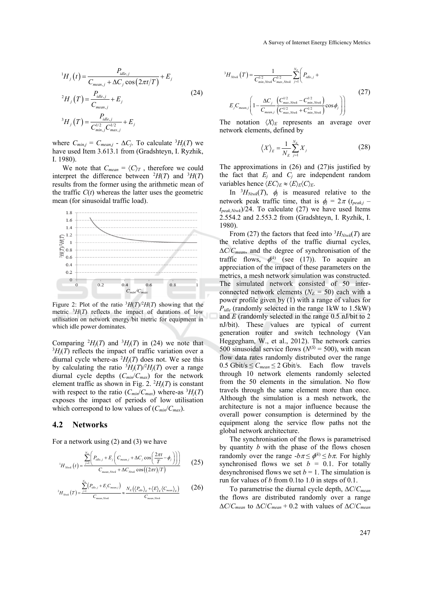$$
{}^{1}H_{j}(t) = \frac{P_{idle,j}}{C_{mean,j} + \Delta C_{j} \cos(2\pi t/T)} + E_{j}
$$
  
\n
$$
{}^{2}H_{j}(T) = \frac{P_{idle,j}}{C_{mean,j}} + E_{j}
$$
  
\n
$$
{}^{3}H_{j}(T) = \frac{P_{idle,j}}{C_{min,j}^{1/2}C_{max,j}^{1/2}} + E_{j}
$$
\n(24)

where  $C_{min,j} = C_{mean,j} - \Delta C_j$ . To calculate  ${}^{3}H_j(T)$  we have used Item 3.613.1 from (Gradshteyn, I. Ryzhik, I. 1980).

We note that  $C_{mean} = \langle C \rangle_T$ , therefore we could interpret the difference between  ${}^{2}H(T)$  and  ${}^{3}H(T)$ results from the former using the arithmetic mean of the traffic  $C(t)$  whereas the latter uses the geometric mean (for sinusoidal traffic load).



Figure 2: Plot of the ratio  ${}^{3}H(T)^{2}H(T)$  showing that the metric  ${}^{3}H(T)$  reflects the impact of durations of low utilisation on network energy/bit metric for equipment in which idle power dominates.

Comparing  ${}^{2}H_j(T)$  and  ${}^{3}H_j(T)$  in (24) we note that  ${}^{3}H_{j}(T)$  reflects the impact of traffic variation over a diurnal cycle where-as  $^{2}H_{j}(T)$  does not. We see this by calculating the ratio  ${}^{3}H_{j}(T)/{}^{2}H_{j}(T)$  over a range diurnal cycle depths (*Cmin*/*Cmax*) for the network element traffic as shown in Fig. 2.  $^{2}H_{j}(T)$  is constant with respect to the ratio  $(C_{min}/C_{max})$  where-as  ${}^{3}H_{j}(T)$ exposes the impact of periods of low utilisation which correspond to low values of (*Cmin*/*Cmax*).

### **4.2 Networks**

For a network using (2) and (3) we have

$$
{}^{1}H_{N\text{twk}}\left(t\right) = \frac{\sum_{j=1}^{N_{E}}\left(P_{idle,j} + E_{j}\left(C_{mean,j} + \Delta C_{j}\cos\left(\frac{2\pi t}{T} - \phi_{j}\right)\right)\right)}{C_{mean,N\text{twk}} + \Delta C_{N\text{twk}}\cos\left(\left(2\pi t\right)/T\right)}\tag{25}
$$

$$
{}^{2}H_{\text{Nink}}(T) = \frac{\sum_{j=1}^{N_{\text{c}}}\left(P_{\text{idle},j} + E_{j}C_{\text{mean},j}\right)}{C_{\text{mean},\text{Nink}}} \approx \frac{N_{\text{E}}\left(\left\langle P_{\text{idle}}\right\rangle_{\text{E}} + \left\langle E\right\rangle_{\text{E}}\left\langle C_{\text{mean}}\right\rangle_{\text{E}}\right)}{C_{\text{mean},\text{Nink}}}
$$
(26)

$$
{}^{3}H_{N\text{row}}(T) = \frac{1}{C_{\text{min}, N\text{row}}^{1/2}} \sum_{\text{max}, N\text{row}}^{V_{\text{max}}} \sum_{j=1}^{N_{E}} \left( P_{\text{l}dle,j} + \right)
$$
\n
$$
E_{j}C_{\text{mean},j} \left( 1 - \frac{\Delta C_{j}}{C_{\text{mean},j}} \frac{\left( C_{\text{max}, N\text{row}}^{1/2} - C_{\text{min}, N\text{row}}^{1/2} \right)}{\left( C_{\text{max}, N\text{row}}^{1/2} + C_{\text{min}, N\text{row}}^{1/2} \right)} \cos \phi_{j} \right) \right)
$$
\n
$$
(27)
$$

The notation  $\langle X \rangle_E$  represents an average over network elements, defined by

$$
\left\langle X \right\rangle_E = \frac{1}{N_E} \sum_{j=1}^{N_E} X_j \tag{28}
$$

The approximations in  $(26)$  and  $(27)$  is justified by the fact that  $E_i$  and  $C_j$  are independent random variables hence  $\langle EC \rangle_E \approx \langle E \rangle_E \langle C \rangle_E$ .

In  ${}^{3}H_{Ntwk}(T)$ ,  $\phi_j$  is measured relative to the network peak traffic time, that is  $\phi_i = 2\pi (t_{peak,i} - t_{peak,i})$  $t_{peak,Ntwk}$  $/24$ . To calculate (27) we have used Items 2.554.2 and 2.553.2 from (Gradshteyn, I. Ryzhik, I. 1980).

From (27) the factors that feed into  ${}^{3}H_{Ntwk}(T)$  are the relative depths of the traffic diurnal cycles,  $\Delta C/C_{mean}$ , and the degree of synchronisation of the traffic flows,  $\phi^{(k)}$  (see (17)). To acquire an appreciation of the impact of these parameters on the metrics, a mesh network simulation was constructed. The simulated network consisted of 50 interconnected network elements  $(N_E = 50)$  each with a power profile given by (1) with a range of values for *Pidle* (randomly selected in the range 1kW to 1.5kW) and *E* (randomly selected in the range 0.5 nJ/bit to 2 nJ/bit). These values are typical of current generation router and switch technology (Van Heggegham, W., et al., 2012). The network carries 500 sinusoidal service flows  $(N^{(S)} = 500)$ , with mean flow data rates randomly distributed over the range  $0.5$  Gbit/s  $\leq C_{mean} \leq 2$  Gbit/s. Each flow travels through 10 network elements randomly selected from the 50 elements in the simulation. No flow travels through the same element more than once. Although the simulation is a mesh network, the architecture is not a major influence because the overall power consumption is determined by the equipment along the service flow paths not the global network architecture.

The synchronisation of the flows is parametrised by quantity *b* with the phase of the flows chosen randomly over the range  $-b\pi \leq \phi^{(k)} \leq b\pi$ . For highly synchronised flows we set  $b = 0.1$ . For totally desynchronised flows we set  $b = 1$ . The simulation is run for values of *b* from 0.1to 1.0 in steps of 0.1.

To parametrise the diurnal cycle depth,  $\Delta C/C_{mean}$ the flows are distributed randomly over a range  $\Delta C/C_{mean}$  to  $\Delta C/C_{mean}$  + 0.2 with values of  $\Delta C/C_{mean}$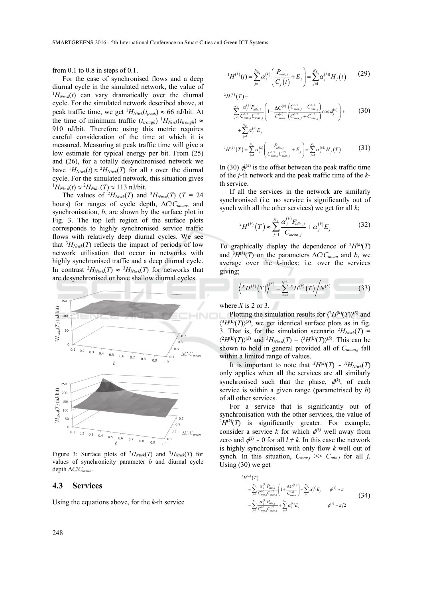from 0.1 to 0.8 in steps of 0.1.

For the case of synchronised flows and a deep diurnal cycle in the simulated network, the value of  ${}^{1}H_{Ntwk}(t)$  can vary dramatically over the diurnal cycle. For the simulated network described above, at peak traffic time, we get  ${}^{1}H_{Ntwk}(t_{peak}) \approx 66$  nJ/bit. At the time of minimum traffic  $(t_{trough})$  <sup>1</sup> $H_{Ntwk}(t_{trough})$   $\approx$ 910 nJ/bit. Therefore using this metric requires careful consideration of the time at which it is measured. Measuring at peak traffic time will give a low estimate for typical energy per bit. From (25) and (26), for a totally desynchronised network we have  ${}^{1}H_{Ntwk}(t) \approx {}^{2}H_{Ntwk}(T)$  for all *t* over the diurnal cycle. For the simulated network, this situation gives  $H_{Ntwk}(t) \approx {}^{2}H_{Ntkw}(T) \approx 113$  nJ/bit.

The values of  ${}^{2}H_{Ntwk}(T)$  and  ${}^{3}H_{Ntwk}(T)$  (*T* = 24 hours) for ranges of cycle depth,  $\Delta C/C_{mean}$ , and synchronisation, *b*, are shown by the surface plot in Fig. 3. The top left region of the surface plots corresponds to highly synchronised service traffic flows with relatively deep diurnal cycles. We see that  ${}^{3}H_{Ntwk}(T)$  reflects the impact of periods of low network utilisation that occur in networks with highly synchronised traffic and a deep diurnal cycle. In contrast  ${}^2H_{Ntwk}(T) \approx {}^3H_{Ntwk}(T)$  for networks that are desynchronised or have shallow diurnal cycles.



Figure 3: Surface plots of  $^2H_{Ntwk}(T)$  and  $^3H_{Ntwk}(T)$  for values of synchronicity parameter *b* and diurnal cycle depth  $\Delta C/C_{mean}$ .

## **4.3 Services**

Using the equations above, for the *k*-th service

$$
{}^{1}H^{(k)}(t) = \sum_{j=1}^{N_E} \alpha_j^{(k)} \left( \frac{P_{idle,j}}{C_j(t)} + E_j \right) = \sum_{j=1}^{N_E} \alpha_j^{(k)1} H_j(t) \qquad (29)
$$

$$
{}^{2}H^{(k)}(T) = \sum_{j=1}^{N_E} \frac{\alpha_j^{(k)} P_{t d e,j}}{C_{min,j}^{(1/2} C_{max,j}^{(2)}} \left(1 - \frac{\Delta C^{(k)}}{C_{mean}^{(k)}} \frac{\left(C_{max,j}^{1/2} - C_{min,j}^{1/2}\right)}{\left(C_{max,j}^{1/2} + C_{min,j}^{1/2}\right)} \cos \phi_j^{(k)}\right) + \sum_{j=1}^{N_E} \alpha_j^{(k)} E_j
$$
(30)

$$
{}^{3}H^{(k)}(T) = \sum_{j=1}^{N_E} \alpha_j^{(k)} \left( \frac{P_{idle,j}}{C_{min,j}^{1/2} C_{max,j}^{1/2}} + E_j \right) = \sum_{j=1}^{N_E} \alpha_j^{(k)} H_j(T)
$$
(31)

In (30)  $\phi^{(k)}$  is the offset between the peak traffic time of the *j*-th network and the peak traffic time of the *k*th service.

If all the services in the network are similarly synchronised (i.e. no service is significantly out of synch with all the other services) we get for all *k*;

$$
{}^{2}H^{(k)}(T) \approx \sum_{j=1}^{N_{E}} \frac{\alpha_{j}^{(k)} P_{idle,j}}{C_{mean,j}} + \alpha_{j}^{(k)} E_{j}
$$
(32)

To graphically display the dependence of  $^2H^{(k)}(T)$ and  ${}^{3}H^{(k)}(T)$  on the parameters  $\Delta C/C_{mean}$  and *b*, we average over the *k*-index; i.e. over the services giving;

$$
\left\langle {}^{X}H^{(k)}(T)\right\rangle^{(S)} = \sum_{k=1}^{N^{(S)}} {}^{X}H^{(k)}(T)\bigg/N^{(S)} \tag{33}
$$

where  $X$  is 2 or 3.

1

Plotting the simulation results for  $\langle {}^2H^{(k)}(T)\rangle^{(S)}$  and  $\langle ^3H^{(k)}(T)\rangle^{(S)}$ , we get identical surface plots as in fig. 3. That is, for the simulation scenario  ${}^{2}H_{Ntwk}(T)$  =  $\langle {}^{2}H^{(k)}(T)\rangle^{(S)}$  and  ${}^{3}H_{Ntwk}(T) = \langle {}^{3}H^{(k)}(T)\rangle^{(S)}$ . This can be shown to hold in general provided all of *Cmean,j* fall within a limited range of values.

It is important to note that  $^{X}H^{(k)}(T) \sim {^{X}H}_{Ntwk}(T)$ only applies when all the services are all similarly synchronised such that the phase,  $\phi^{(k)}$ , of each service is within a given range (parametrised by *b*) of all other services.

For a service that is significantly out of synchronisation with the other services, the value of  ${}^{2}H^{(k)}(T)$  is significantly greater. For example, consider a service *k* for which  $\phi^{(k)}$  well away from zero and  $\phi^{(l)} \sim 0$  for all  $l \neq k$ . In this case the network is highly synchronised with only flow *k* well out of synch. In this situation,  $C_{max,j} \gg C_{min,j}$  for all *j*. Using (30) we get

$$
{}^{2}H^{(k)}(T)
$$
\n
$$
\approx \sum_{j=1}^{N_E} \frac{\alpha_j^{(k)} P_{idle,j}}{C_{min,j}^{1/2} C_{max,j}^{1/2}} \left(1 + \frac{\Delta C^{(k)}}{C_{mean}^{(k)}}\right) + \sum_{j=1}^{N_E} \alpha_j^{(k)} E_j \qquad \phi^{(k)} \approx \pi
$$
\n
$$
\approx \sum_{j=1}^{N_E} \frac{\alpha_j^{(k)} P_{idle,j}}{C_{min,j}^{1/2} C_{max,j}^{1/2}} + \sum_{j=1}^{N_E} \alpha_j^{(k)} E_j \qquad \phi^{(k)} \approx \pi/2
$$
\n(34)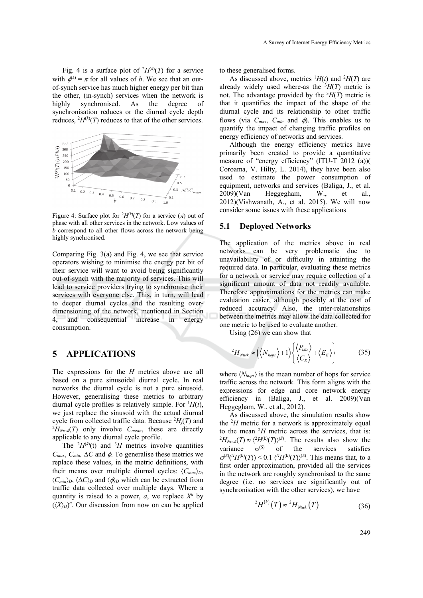Fig. 4 is a surface plot of  $^2H^{(k)}(T)$  for a service with  $\phi^{(k)} = \pi$  for all values of *b*. We see that an outof-synch service has much higher energy per bit than the other, (in-synch) services when the network is highly synchronised. As the degree of synchronisation reduces or the diurnal cycle depth reduces,  $^{2}H^{(k)}(T)$  reduces to that of the other services.



Figure 4: Surface plot for  $^{2}H^{(k)}(T)$  for a service  $(\pi)$  out of phase with all other services in the network. Low values of *b* correspond to all other flows across the network being highly synchronised.

Comparing Fig. 3(a) and Fig. 4, we see that service operators wishing to minimise the energy per bit of their service will want to avoid being significantly out-of-synch with the majority of services. This will lead to service providers trying to synchronise their services with everyone else. This, in turn, will lead to deeper diurnal cycles and the resulting overdimensioning of the network, mentioned in Section 4, and consequential increase in energy consumption.

# **5 APPLICATIONS**

The expressions for the *H* metrics above are all based on a pure sinusoidal diurnal cycle. In real networks the diurnal cycle is not a pure sinusoid. However, generalising these metrics to arbitrary diurnal cycle profiles is relatively simple. For  ${}^{1}H(t)$ , we just replace the sinusoid with the actual diurnal cycle from collected traffic data. Because  $^{2}H_{j}(T)$  and  $^{2}H_{\nu}$ ,  $(T)$  only involve C these are directly  ${}^{2}H_{Ntwk}(T)$  only involve  $C_{mean}$ , these are directly applicable to any diurnal cycle profile.

The  ${}^{2}H^{(k)}(t)$  and  ${}^{3}H$  metrics involve quantities  $C_{max}$ ,  $C_{min}$ ,  $\Delta C$  and  $\phi$ . To generalise these metrics we replace these values, in the metric definitions, with their means over multiple diurnal cycles:  $\langle C_{max} \rangle_D$ ,  $\langle C_{min} \rangle_D$ ,  $\langle \Delta C \rangle_D$  and  $\langle \phi \rangle_D$  which can be extracted from traffic data collected over multiple days. Where a quantity is raised to a power,  $a$ , we replace  $X^a$  by  $(\langle X \rangle_D)^a$ . Our discussion from now on can be applied to these generalised forms.

As discussed above, metrics  $^1H(t)$  and  $^2H(T)$  are already widely used where-as the  ${}^{3}H(T)$  metric is not. The advantage provided by the  ${}^{3}H(T)$  metric is that it quantifies the impact of the shape of the diurnal cycle and its relationship to other traffic flows (via  $C_{max}$ ,  $C_{min}$  and  $\phi$ ). This enables us to quantify the impact of changing traffic profiles on energy efficiency of networks and services.

Although the energy efficiency metrics have primarily been created to provide a quantitative measure of "energy efficiency" (ITU-T 2012 (a))( Coroama, V. Hilty, L. 2014), they have been also used to estimate the power consumption of equipment, networks and services (Baliga, J., et al. 2009)(Van Heggegham, W., et al., 2012)(Vishwanath, A., et al. 2015). We will now consider some issues with these applications

### **5.1 Deployed Networks**

The application of the metrics above in real networks can be very problematic due to unavailability of or difficulty in attainting the required data. In particular, evaluating these metrics for a network or service may require collection of a significant amount of data not readily available. Therefore approximations for the metrics can make evaluation easier, although possibly at the cost of reduced accuracy. Also, the inter-relationships between the metrics may allow the data collected for one metric to be used to evaluate another.

Using (26) we can show that

$$
{}^{2}H_{N\text{low}k} \approx \left(\left\langle N_{\text{hops}}\right\rangle + 1\right) \left\{ \frac{\left\langle P_{\text{idle}}\right\rangle}{\left\langle C_{\text{E}}\right\rangle} + \left\langle E_{\text{E}}\right\rangle \right\} \tag{35}
$$

where  $\langle N_{hops} \rangle$  is the mean number of hops for service traffic across the network. This form aligns with the expressions for edge and core network energy efficiency in (Baliga, J., et al. 2009)(Van Heggegham, W., et al., 2012).

As discussed above, the simulation results show the  ${}^{2}H$  metric for a network is approximately equal to the mean <sup>2</sup>H metric across the services, that is:<br><sup>2</sup>H<sub>12</sub> (T)  $\approx$  (<sup>2</sup>H<sup>(k)</sup>(T)<sup>(S)</sup>. The results also show the  $H_{Ntwk}(T) \approx \langle {}^2H^{(k)}(T) \rangle^{(S)}$ . The results also show the variance  $\sigma^{(S)}$  of the services satisfies  $\sigma^{(S)}(\chi^X H^{(k)}(T))$  < 0.1  $\langle^X H^{(k)}(T) \rangle^{(S)}$ . This means that, to a first order approximation, provided all the services in the network are roughly synchronised to the same degree (i.e. no services are significantly out of synchronisation with the other services), we have

$$
{}^{2}H^{(k)}(T) \approx {}^{2}H_{N\text{twk}}(T) \tag{36}
$$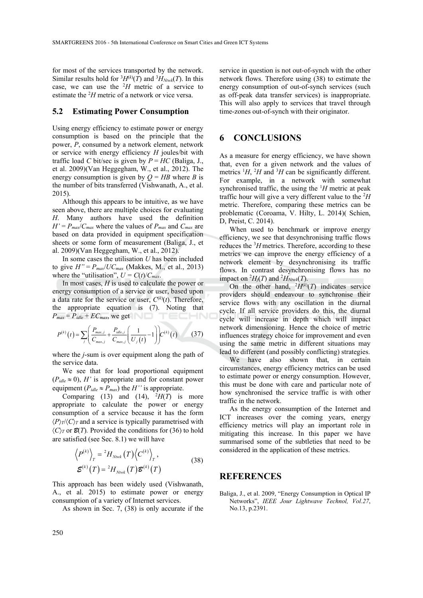for most of the services transported by the network. Similar results hold for  ${}^{3}H^{(k)}(T)$  and  ${}^{3}H_{Ntwk}(T)$ . In this case, we can use the  $^2H$  metric of a service to estimate the <sup>2</sup>H metric of a network or vice versa.

### **5.2 Estimating Power Consumption**

Using energy efficiency to estimate power or energy consumption is based on the principle that the power, *P*, consumed by a network element, network or service with energy efficiency *H* joules/bit with traffic load *C* bit/sec is given by  $P = HC$  (Baliga, J., et al. 2009)(Van Heggegham, W., et al., 2012). The energy consumption is given by  $Q = HB$  where *B* is the number of bits transferred (Vishwanath, A., et al. 2015).

Although this appears to be intuitive, as we have seen above, there are multiple choices for evaluating *H*. Many authors have used the definition  $H' = P_{max}/C_{max}$  where the values of  $P_{max}$  and  $C_{max}$  are based on data provided in equipment specification sheets or some form of measurement (Baliga, J., et al. 2009)(Van Heggegham, W., et al., 2012).

In some cases the utilisation *U* has been included to give  $H'' = P_{max}/U C_{max}$  (Makkes, M., et al., 2013) where the "utilisation",  $U = C(t)/C_{max}$ .

In most cases, *H* is used to calculate the power or energy consumption of a service or user, based upon a data rate for the service or user,  $C^{(k)}(t)$ . Therefore, the appropriate equation is (7). Noting that  $P_{max} = P_{idle} + EC_{max}$ , we get TECHN(

$$
P^{(k)}(t) = \sum_{j} \left( \frac{P_{max,j}}{C_{max,j}} + \frac{P_{idle,j}}{C_{max,j}} \left( \frac{1}{U_j(t)} - 1 \right) \right) C^{(k)}(t) \tag{37}
$$

where the *j*-sum is over equipment along the path of the service data.

We see that for load proportional equipment  $(P_{idle} \approx 0)$ , *H'* is appropriate and for constant power equipment ( $P_{idle} \approx P_{max}$ ) the *H''* is appropriate.

Comparing (13) and (14),  $^2H(T)$  is more appropriate to calculate the power or energy consumption of a service because it has the form  $\langle P \rangle_T$ / $\langle C \rangle_T$  and a service is typically parametrised with  $\langle C \rangle_T$  or  $\mathcal{B}(T)$ . Provided the conditions for (36) to hold are satisfied (see Sec. 8.1) we will have

$$
\langle P^{(k)} \rangle_{T} = {}^{2}H_{N\text{row}}(T)\langle C^{(k)} \rangle_{T},
$$
  

$$
\mathcal{E}^{(k)}(T) = {}^{2}H_{N\text{row}}(T)\mathcal{E}^{(k)}(T)
$$
 (38)

This approach has been widely used (Vishwanath, A., et al. 2015) to estimate power or energy consumption of a variety of Internet services.

As shown in Sec. 7, (38) is only accurate if the

service in question is not out-of-synch with the other network flows. Therefore using (38) to estimate the energy consumption of out-of-synch services (such as off-peak data transfer services) is inappropriate. This will also apply to services that travel through time-zones out-of-synch with their originator.

# **6 CONCLUSIONS**

As a measure for energy efficiency, we have shown that, even for a given network and the values of metrics  $^1H$ ,  $^2H$  and  $^3H$  can be significantly different. For example, in a network with somewhat synchronised traffic, the using the  $H$  metric at peak traffic hour will give a very different value to the 2 *H* metric. Therefore, comparing these metrics can be problematic (Coroama, V. Hilty, L. 2014)( Schien, D, Preist, C. 2014).

When used to benchmark or improve energy efficiency, we see that desynchronising traffic flows reduces the 3 *H* metrics. Therefore, according to these metrics we can improve the energy efficiency of a network element by desynchronising its traffic flows. In contrast desynchronising flows has no impact on  ${}^2H_j(T)$  and  ${}^2H_{Ntwk}(T)$ .

On the other hand,  $^{2}H^{(k)}(T)$  indicates service providers should endeavour to synchronise their service flows with any oscillation in the diurnal cycle. If all service providers do this, the diurnal cycle will increase in depth which will impact network dimensioning. Hence the choice of metric influences strategy choice for improvement and even using the same metric in different situations may lead to different (and possibly conflicting) strategies.

We have also shown that, in certain circumstances, energy efficiency metrics can be used to estimate power or energy consumption. However, this must be done with care and particular note of how synchronised the service traffic is with other traffic in the network.

As the energy consumption of the Internet and ICT increases over the coming years, energy efficiency metrics will play an important role in mitigating this increase. In this paper we have summarised some of the subtleties that need to be considered in the application of these metrics.

#### **REFERENCES**

Baliga, J., et al. 2009, "Energy Consumption in Optical IP Networks", *IEEE Jour Lightwave Technol, Vol.27*, No.13, p.2391.